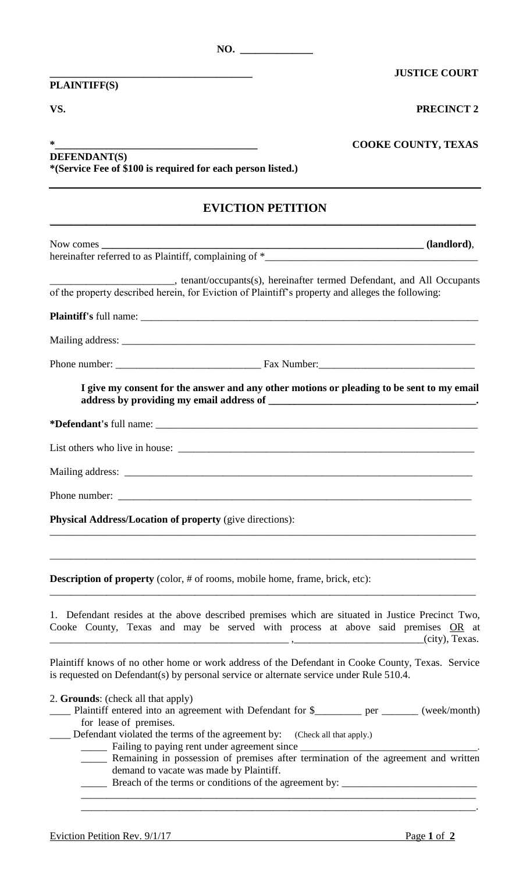**PLAINTIFF(S)**

**\_\_\_\_\_\_\_\_\_\_\_\_\_\_\_\_\_\_\_\_\_\_\_\_\_\_\_\_\_\_\_\_\_\_\_\_\_\_\_ JUSTICE COURT**

**VS. PRECINCT 2**

| ∗                                                           | <b>COOKE COUNTY, TEXAS</b> |
|-------------------------------------------------------------|----------------------------|
| <b>DEFENDANT(S)</b>                                         |                            |
| *(Service Fee of \$100 is required for each person listed.) |                            |

## **EVICTION PETITION**  $\_$  , and the set of the set of the set of the set of the set of the set of the set of the set of the set of the set of the set of the set of the set of the set of the set of the set of the set of the set of the set of th

| ______________________________, tenant/occupants(s), hereinafter termed Defendant, and All Occupants<br>of the property described herein, for Eviction of Plaintiff's property and alleges the following:                                                                                                                    |
|------------------------------------------------------------------------------------------------------------------------------------------------------------------------------------------------------------------------------------------------------------------------------------------------------------------------------|
|                                                                                                                                                                                                                                                                                                                              |
|                                                                                                                                                                                                                                                                                                                              |
|                                                                                                                                                                                                                                                                                                                              |
| I give my consent for the answer and any other motions or pleading to be sent to my email                                                                                                                                                                                                                                    |
|                                                                                                                                                                                                                                                                                                                              |
|                                                                                                                                                                                                                                                                                                                              |
|                                                                                                                                                                                                                                                                                                                              |
|                                                                                                                                                                                                                                                                                                                              |
| <b>Physical Address/Location of property (give directions):</b>                                                                                                                                                                                                                                                              |
| ,我们也不能在这里的人,我们也不能在这里的人,我们也不能在这里的人,我们也不能在这里的人,我们也不能在这里的人,我们也不能在这里的人,我们也不能在这里的人,我们也                                                                                                                                                                                                                                            |
| <b>Description of property</b> (color, # of rooms, mobile home, frame, brick, etc):                                                                                                                                                                                                                                          |
| 1. Defendant resides at the above described premises which are situated in Justice Precinct Two,<br>Cooke County, Texas and may be served with process at above said premises OR at<br>$\overline{\phantom{a}}$ (city), Texas.                                                                                               |
| Plaintiff knows of no other home or work address of the Defendant in Cooke County, Texas. Service<br>is requested on Defendant(s) by personal service or alternate service under Rule 510.4.                                                                                                                                 |
| 2. Grounds: (check all that apply)<br>Plaintiff entered into an agreement with Defendant for \$________ per ______ (week/month)<br>for lease of premises.<br>Defendant violated the terms of the agreement by: (Check all that apply.)<br>Remaining in possession of premises after termination of the agreement and written |
| demand to vacate was made by Plaintiff.<br>Durante of the transport condition                                                                                                                                                                                                                                                |

\_\_\_\_\_\_\_\_\_\_\_\_\_\_\_\_\_\_\_\_\_\_\_\_\_\_\_\_\_\_\_\_\_\_\_\_\_\_\_\_\_\_\_\_\_\_\_\_\_\_\_\_\_\_\_\_\_\_\_\_\_\_\_\_\_\_\_\_\_\_\_\_\_\_\_\_ \_\_\_\_\_\_\_\_\_\_\_\_\_\_\_\_\_\_\_\_\_\_\_\_\_\_\_\_\_\_\_\_\_\_\_\_\_\_\_\_\_\_\_\_\_\_\_\_\_\_\_\_\_\_\_\_\_\_\_\_\_\_\_\_\_\_\_\_\_\_\_\_\_\_\_\_.